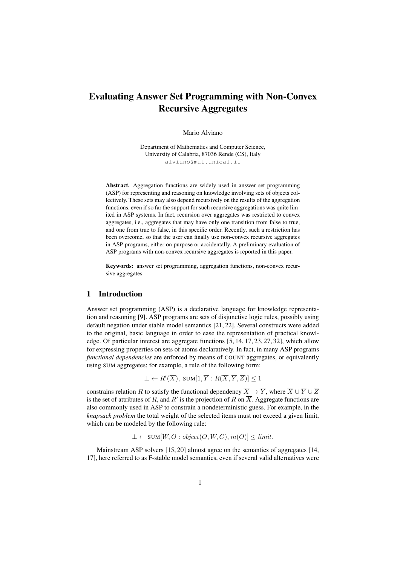# Evaluating Answer Set Programming with Non-Convex Recursive Aggregates

Mario Alviano

Department of Mathematics and Computer Science, University of Calabria, 87036 Rende (CS), Italy alviano@mat.unical.it

Abstract. Aggregation functions are widely used in answer set programming (ASP) for representing and reasoning on knowledge involving sets of objects collectively. These sets may also depend recursively on the results of the aggregation functions, even if so far the support for such recursive aggregations was quite limited in ASP systems. In fact, recursion over aggregates was restricted to convex aggregates, i.e., aggregates that may have only one transition from false to true, and one from true to false, in this specific order. Recently, such a restriction has been overcome, so that the user can finally use non-convex recursive aggregates in ASP programs, either on purpose or accidentally. A preliminary evaluation of ASP programs with non-convex recursive aggregates is reported in this paper.

Keywords: answer set programming, aggregation functions, non-convex recursive aggregates

#### 1 Introduction

Answer set programming (ASP) is a declarative language for knowledge representation and reasoning [9]. ASP programs are sets of disjunctive logic rules, possibly using default negation under stable model semantics [21, 22]. Several constructs were added to the original, basic language in order to ease the representation of practical knowledge. Of particular interest are aggregate functions [5, 14, 17, 23, 27, 32], which allow for expressing properties on sets of atoms declaratively. In fact, in many ASP programs *functional dependencies* are enforced by means of COUNT aggregates, or equivalently using SUM aggregates; for example, a rule of the following form:

$$
\bot \leftarrow R'(\overline{X}), \text{ sum}[1, \overline{Y}: R(\overline{X}, \overline{Y}, \overline{Z})] \le 1
$$

constrains relation R to satisfy the functional dependency  $\overline{X} \to \overline{Y}$ , where  $\overline{X} \cup \overline{Y} \cup \overline{Z}$ is the set of attributes of R, and R' is the projection of R on X. Aggregate functions are also commonly used in ASP to constrain a nondeterministic guess. For example, in the *knapsack problem* the total weight of the selected items must not exceed a given limit, which can be modeled by the following rule:

 $\bot \leftarrow \text{SUM}[W, O : object(O, W, C), in(O)] < limit.$ 

Mainstream ASP solvers [15, 20] almost agree on the semantics of aggregates [14, 17], here referred to as F-stable model semantics, even if several valid alternatives were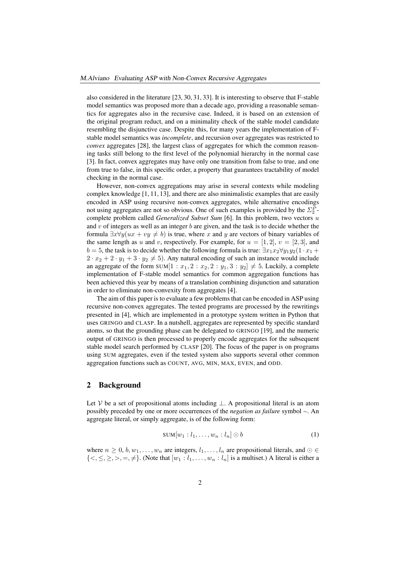also considered in the literature [23, 30, 31, 33]. It is interesting to observe that F-stable model semantics was proposed more than a decade ago, providing a reasonable semantics for aggregates also in the recursive case. Indeed, it is based on an extension of the original program reduct, and on a minimality check of the stable model candidate resembling the disjunctive case. Despite this, for many years the implementation of Fstable model semantics was *incomplete*, and recursion over aggregates was restricted to *convex* aggregates [28], the largest class of aggregates for which the common reasoning tasks still belong to the first level of the polynomial hierarchy in the normal case [3]. In fact, convex aggregates may have only one transition from false to true, and one from true to false, in this specific order, a property that guarantees tractability of model checking in the normal case.

However, non-convex aggregations may arise in several contexts while modeling complex knowledge [1, 11, 13], and there are also minimalistic examples that are easily encoded in ASP using recursive non-convex aggregates, while alternative encodings not using aggregates are not so obvious. One of such examples is provided by the  $\Sigma_2^P$ complete problem called *Generalized Subset Sum* [6]. In this problem, two vectors u and  $v$  of integers as well as an integer  $b$  are given, and the task is to decide whether the formula  $\exists x \forall y (ux + vy \neq b)$  is true, where x and y are vectors of binary variables of the same length as u and v, respectively. For example, for  $u = [1, 2], v = [2, 3]$ , and  $b = 5$ , the task is to decide whether the following formula is true:  $\exists x_1x_2 \forall y_1y_2(1 \cdot x_1 +$  $2 \cdot x_2 + 2 \cdot y_1 + 3 \cdot y_2 \neq 5$ . Any natural encoding of such an instance would include an aggregate of the form SUM $[1 : x_1, 2 : x_2, 2 : y_1, 3 : y_2] \neq 5$ . Luckily, a complete implementation of F-stable model semantics for common aggregation functions has been achieved this year by means of a translation combining disjunction and saturation in order to eliminate non-convexity from aggregates [4].

The aim of this paper is to evaluate a few problems that can be encoded in ASP using recursive non-convex aggregates. The tested programs are processed by the rewritings presented in [4], which are implemented in a prototype system written in Python that uses GRINGO and CLASP. In a nutshell, aggregates are represented by specific standard atoms, so that the grounding phase can be delegated to GRINGO [19], and the numeric output of GRINGO is then processed to properly encode aggregates for the subsequent stable model search performed by CLASP [20]. The focus of the paper is on programs using SUM aggregates, even if the tested system also supports several other common aggregation functions such as COUNT, AVG, MIN, MAX, EVEN, and ODD.

### 2 Background

Let V be a set of propositional atoms including  $\bot$ . A propositional literal is an atom possibly preceded by one or more occurrences of the *negation as failure* symbol <sup>∼</sup>. An aggregate literal, or simply aggregate, is of the following form:

$$
SUM[w_1: l_1, \ldots, w_n: l_n] \odot b \tag{1}
$$

where  $n \geq 0, b, w_1, \ldots, w_n$  are integers,  $l_1, \ldots, l_n$  are propositional literals, and  $\odot \in$  $\{<,\leq,\geq,>,=,\neq\}.$  (Note that  $[w_1 : l_1, \ldots, w_n : l_n]$  is a multiset.) A literal is either a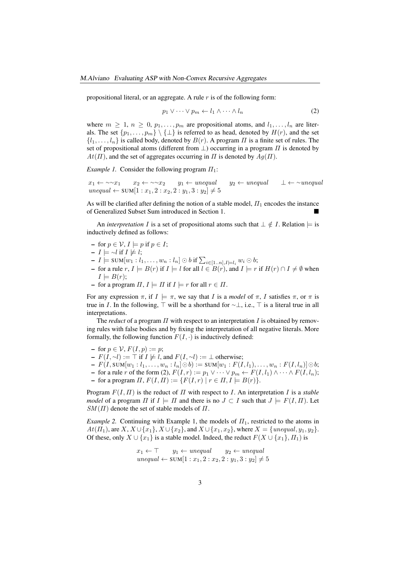propositional literal, or an aggregate. A rule  $r$  is of the following form:

$$
p_1 \vee \cdots \vee p_m \leftarrow l_1 \wedge \cdots \wedge l_n \tag{2}
$$

where  $m \geq 1$ ,  $n \geq 0$ ,  $p_1, \ldots, p_m$  are propositional atoms, and  $l_1, \ldots, l_n$  are literals. The set  $\{p_1, \ldots, p_m\} \setminus \{\perp\}$  is referred to as head, denoted by  $H(r)$ , and the set  $\{l_1, \ldots, l_n\}$  is called body, denoted by  $B(r)$ . A program  $\Pi$  is a finite set of rules. The set of propositional atoms (different from  $\perp$ ) occurring in a program  $\Pi$  is denoted by  $At(\Pi)$ , and the set of aggregates occurring in  $\Pi$  is denoted by  $Aq(\Pi)$ .

*Example 1.* Consider the following program  $\Pi_1$ :

 $x_1 \leftarrow \sim x_1$   $x_2 \leftarrow \sim x_2$   $y_1 \leftarrow$  unequal  $y_2 \leftarrow$  unequal  $\perp \leftarrow$  ∼unequal unequal ← SUM $[1 : x_1, 2 : x_2, 2 : y_1, 3 : y_2]$   $\neq$  5

As will be clarified after defining the notion of a stable model,  $\Pi_1$  encodes the instance of Generalized Subset Sum introduced in Section 1.

An *interpretation* I is a set of propositional atoms such that  $\perp \notin I$ . Relation  $\models$  is inductively defined as follows:

- $\text{-}$  for  $p \in \mathcal{V}, I \models p \text{ if } p \in I;$
- $I$   $\models \neg l$  if  $I \not\models l$ ;
- $I \models \text{SUM}[w_1: l_1, \ldots, w_n: l_n] \odot b \text{ if } \sum_{i \in [1..n], I \models l_i} w_i \odot b;$
- for a rule *r*, *I*  $\models$  *B*(*r*) if *I*  $\models$  *l* for all *l* ∈ *B*(*r*), and *I*  $\models$  *r* if *H*(*r*) ∩ *I* ≠ ∅ when  $I \models B(r)$ ;
- for a program  $\Pi, I \models \Pi$  if  $I \models r$  for all  $r \in \Pi$ .

For any expression  $\pi$ , if  $I \models \pi$ , we say that I is a *model* of  $\pi$ , I satisfies  $\pi$ , or  $\pi$  is true in I. In the following,  $\top$  will be a shorthand for  $\sim \bot$ , i.e.,  $\top$  is a literal true in all interpretations.

The *reduct* of a program  $\Pi$  with respect to an interpretation  $I$  is obtained by removing rules with false bodies and by fixing the interpretation of all negative literals. More formally, the following function  $F(I, \cdot)$  is inductively defined:

- $\blacktriangleright$  for  $p \in \mathcal{V}$ ,  $F(I, p) := p$ ;
- $F(I, \sim l) := \top$  if  $I \not\models l$ , and  $F(I, \sim l) := \bot$  otherwise;
- $-F(I, \text{SUM}[w_1 : l_1, \ldots, w_n : l_n] \odot b) := \text{SUM}[w_1 : F(I, l_1), \ldots, w_n : F(I, l_n)] \odot b;$
- for a rule *r* of the form (2),  $F(I, r) := p_1 ∨ ⋯ y_m ← F(I, l_1) ∧ ⋯ ∧ F(I, l_n);$
- for a program  $\Pi$ ,  $F(I, \Pi) := \{F(I, r) \mid r \in \Pi, I \models B(r)\}.$

Program F(I, Π) is the reduct of Π with respect to I. An interpretation I is a *stable model* of a program  $\Pi$  if  $I \models \Pi$  and there is no  $J \subset I$  such that  $J \models F(I, \Pi)$ . Let  $SM(\Pi)$  denote the set of stable models of  $\Pi$ .

*Example 2.* Continuing with Example 1, the models of  $\Pi_1$ , restricted to the atoms in  $At(\Pi_1)$ , are  $X, X \cup \{x_1\}, X \cup \{x_2\}$ , and  $X \cup \{x_1, x_2\}$ , where  $X = \{unequal, y_1, y_2\}.$ Of these, only  $X \cup \{x_1\}$  is a stable model. Indeed, the reduct  $F(X \cup \{x_1\}, \Pi_1)$  is

$$
x_1 \leftarrow \top \qquad y_1 \leftarrow \text{unequal} \qquad y_2 \leftarrow \text{unequal}
$$
  
unequal \leftarrow SUM[1:x\_1, 2:x\_2, 2:y\_1, 3:y\_2] \neq 5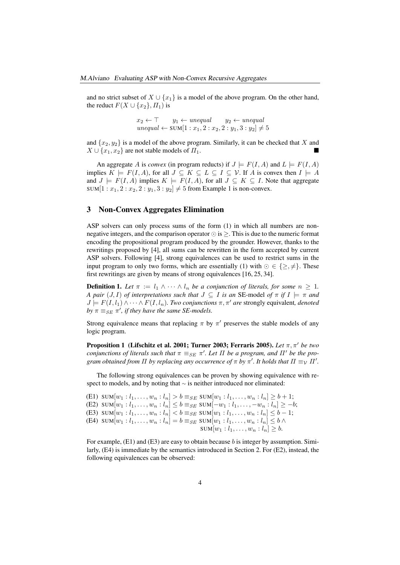and no strict subset of  $X \cup \{x_1\}$  is a model of the above program. On the other hand, the reduct  $F(X \cup \{x_2\}, \Pi_1)$  is

$$
x_2 \leftarrow \top \qquad y_1 \leftarrow \text{unequal} \qquad y_2 \leftarrow \text{unequal}
$$
  
unequal \leftarrow SUM[1:  $x_1, 2 : x_2, 2 : y_1, 3 : y_2] \neq 5$ 

and  $\{x_2, y_2\}$  is a model of the above program. Similarly, it can be checked that X and  $X \cup \{x_1, x_2\}$  are not stable models of  $\Pi_1$ .

An aggregate A is *convex* (in program reducts) if  $J \models F(I, A)$  and  $L \models F(I, A)$ implies  $K \models F(I, A)$ , for all  $J \subseteq K \subseteq L \subseteq I \subseteq V$ . If A is convex then  $I \models A$ and  $J \models F(I, A)$  implies  $K \models F(I, A)$ , for all  $J \subseteq K \subseteq I$ . Note that aggregate SUM $[1 : x_1, 2 : x_2, 2 : y_1, 3 : y_2] \neq 5$  from Example 1 is non-convex.

## 3 Non-Convex Aggregates Elimination

ASP solvers can only process sums of the form (1) in which all numbers are nonnegative integers, and the comparison operator  $\odot$  is  $\ge$ . This is due to the numeric format encoding the propositional program produced by the grounder. However, thanks to the rewritings proposed by [4], all sums can be rewritten in the form accepted by current ASP solvers. Following [4], strong equivalences can be used to restrict sums in the input program to only two forms, which are essentially (1) with  $\odot \in \{\geq, \neq\}.$  These first rewritings are given by means of strong equivalences [16, 25, 34].

**Definition 1.** Let  $\pi := l_1 \wedge \cdots \wedge l_n$  be a conjunction of literals, for some  $n \geq 1$ . *A pair*  $(J, I)$  *of interpretations such that*  $J \subseteq I$  *is an SE-model of*  $\pi$  *if*  $I \models \pi$  *and*  $J \models F(I, l_1) \land \cdots \land F(I, l_n)$ *. Two conjunctions*  $\pi, \pi'$  *are* strongly equivalent, *denoted*  $by \pi \equiv_{SE} \pi'$ , *if they have the same SE-models.* 

Strong equivalence means that replacing  $\pi$  by  $\pi'$  preserves the stable models of any logic program.

**Proposition 1** (Lifschitz et al. 2001; Turner 2003; Ferraris 2005). Let  $\pi$ ,  $\pi'$  be two *conjunctions of literals such that*  $\pi \equiv_{SE} \pi'$ . Let  $\Pi$  be a program, and  $\Pi'$  be the program obtained from  $\Pi$  by replacing any occurrence of  $\pi$  by  $\pi'$ . It holds that  $\Pi \equiv_{\mathcal{V}} \Pi'$ .

The following strong equivalences can be proven by showing equivalence with respect to models, and by noting that ∼ is neither introduced nor eliminated:

```
(E1) SUM[w_1 : l_1, \ldots, w_n : l_n] > b \equiv_{SE} \text{SUM}[w_1 : l_1, \ldots, w_n : l_n] \geq b + 1;(E2) \text{SUM}[w_1 : l_1, \ldots, w_n : l_n] \leq b \equiv_{SE} \text{SUM}[-w_1 : l_1, \ldots, -w_n : l_n] \geq -b;(E3) SUM[w_1 : l_1, \ldots, w_n : l_n] < b \equiv_{SE} \text{SUM}[w_1 : l_1, \ldots, w_n : l_n] \leq b - 1;(E4) SUM[w_1 : l_1, ..., w_n : l_n] = b \equiv_{SE} \text{SUM}[w_1 : l_1, ..., w_n : l_n] \leq b \wedgeSUM[w_1 : l_1, ..., w_n : l_n] \geq b.
```
For example,  $(E1)$  and  $(E3)$  are easy to obtain because b is integer by assumption. Similarly, (E4) is immediate by the semantics introduced in Section 2. For (E2), instead, the following equivalences can be observed: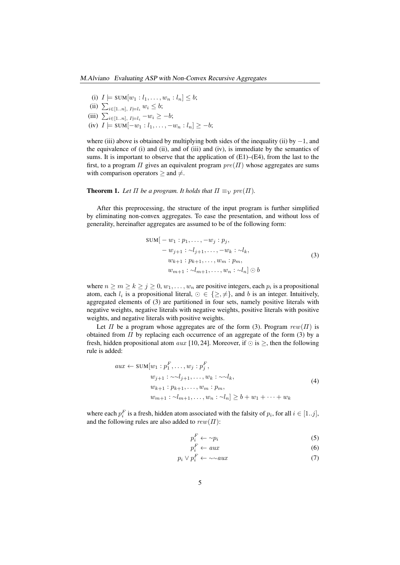- (i)  $I \models \text{SUM}[w_1 : l_1, ..., w_n : l_n] \leq b;$ (ii)  $\sum_{i \in [1..n], l \models l_i} w_i \leq b;$ (iii)  $\sum_{i\in[1..n],\ I\models l_i} -w_i \geq -b;$
- (iv)  $I \models \text{SUM}[-w_1 : l_1, \dots, -w_n : l_n] \geq -b;$

where (iii) above is obtained by multiplying both sides of the inequality (ii) by  $-1$ , and the equivalence of (i) and (ii), and of (iii) and (iv), is immediate by the semantics of sums. It is important to observe that the application of (E1)–(E4), from the last to the first, to a program  $\Pi$  gives an equivalent program  $pre(\Pi)$  whose aggregates are sums with comparison operators  $>$  and  $\neq$ .

**Theorem 1.** Let  $\Pi$  be a program. It holds that  $\Pi \equiv_{\mathcal{V}} pre(\Pi)$ .

After this preprocessing, the structure of the input program is further simplified by eliminating non-convex aggregates. To ease the presentation, and without loss of generality, hereinafter aggregates are assumed to be of the following form:

$$
SUM[-w1: p1,...,-wj: pj,-wj+1: ~lj+1,...,-wk: ~lk,wk+1: pk+1,..., wm: pm,wm+1: ~lm+1,..., wn: ~ln] ⊙ b
$$
\n(3)

where  $n \ge m \ge k \ge j \ge 0, w_1, \dots, w_n$  are positive integers, each  $p_i$  is a propositional atom, each  $l_i$  is a propositional literal,  $\odot \in \{\geq, \neq\}$ , and b is an integer. Intuitively, aggregated elements of (3) are partitioned in four sets, namely positive literals with negative weights, negative literals with negative weights, positive literals with positive weights, and negative literals with positive weights.

Let  $\Pi$  be a program whose aggregates are of the form (3). Program  $rew(\Pi)$  is obtained from  $\Pi$  by replacing each occurrence of an aggregate of the form (3) by a fresh, hidden propositional atom aux [10, 24]. Moreover, if  $\odot$  is  $\geq$ , then the following rule is added:

$$
aux \leftarrow \text{SUM}[w_1 : p_1^F, \dots, w_j : p_j^F, \n w_{j+1} : \sim \sim l_{j+1}, \dots, w_k : \sim \sim l_k, \n w_{k+1} : p_{k+1}, \dots, w_m : p_m, \n w_{m+1} : \sim l_{m+1}, \dots, w_n : \sim l_n] \geq b + w_1 + \dots + w_k
$$
\n(4)

where each  $p_i^F$  is a fresh, hidden atom associated with the falsity of  $p_i$ , for all  $i \in [1..j]$ , and the following rules are also added to  $rew(\Pi)$ :

$$
p_i^F \leftarrow \sim p_i \tag{5}
$$

$$
p_i^F \leftarrow aux \tag{6}
$$

$$
p_i \vee p_i^F \leftarrow \sim \sim aux \tag{7}
$$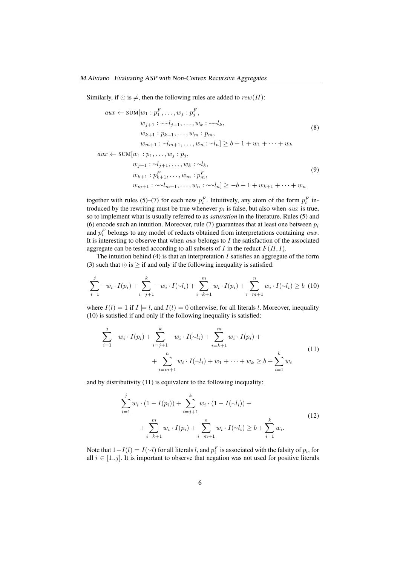Similarly, if  $\odot$  is  $\neq$ , then the following rules are added to  $rew(\Pi)$ :

$$
aux \leftarrow \text{SUM}[w_1 : p_1^F, \dots, w_j : p_j^F, \n w_{j+1} : \sim l_{j+1}, \dots, w_k : \sim l_k, \n w_{k+1} : p_{k+1}, \dots, w_m : p_m, \n w_{m+1} : \sim l_{m+1}, \dots, w_n : \sim l_n] \geq b + 1 + w_1 + \dots + w_k \n aux \leftarrow \text{SUM}[w_1 : p_1, \dots, w_j : p_j, \n w_{j+1} : \sim l_{j+1}, \dots, w_k : \sim l_k, \n w_{k+1} : p_{k+1}^F, \dots, w_m : p_m^F, \n w_{m+1} : \sim l_{m+1}, \dots, w_n : \sim l_n] \geq -b + 1 + w_{k+1} + \dots + w_n
$$
\n(9)

together with rules (5)–(7) for each new  $p_i^F$ . Intuitively, any atom of the form  $p_i^F$  introduced by the rewriting must be true whenever  $p_i$  is false, but also when *aux* is true, so to implement what is usually referred to as *saturation* in the literature. Rules (5) and (6) encode such an intuition. Moreover, rule (7) guarantees that at least one between  $p_i$ and  $p_i^F$  belongs to any model of reducts obtained from interpretations containing aux. It is interesting to observe that when *aux* belongs to  $I$  the satisfaction of the associated aggregate can be tested according to all subsets of I in the reduct  $F(\Pi, I)$ .

The intuition behind (4) is that an interpretation  $I$  satisfies an aggregate of the form (3) such that  $\odot$  is  $\geq$  if and only if the following inequality is satisfied:

$$
\sum_{i=1}^{j} -w_i \cdot I(p_i) + \sum_{i=j+1}^{k} -w_i \cdot I(\sim l_i) + \sum_{i=k+1}^{m} w_i \cdot I(p_i) + \sum_{i=m+1}^{n} w_i \cdot I(\sim l_i) \ge b \tag{10}
$$

where  $I(l) = 1$  if  $I \models l$ , and  $I(l) = 0$  otherwise, for all literals l. Moreover, inequality (10) is satisfied if and only if the following inequality is satisfied:

$$
\sum_{i=1}^{j} -w_i \cdot I(p_i) + \sum_{i=j+1}^{k} -w_i \cdot I(\sim l_i) + \sum_{i=k+1}^{m} w_i \cdot I(p_i) + \newline + \sum_{i=m+1}^{n} w_i \cdot I(\sim l_i) + w_1 + \cdots + w_k \geq b + \sum_{i=1}^{k} w_i
$$
\n(11)

and by distributivity (11) is equivalent to the following inequality:

$$
\sum_{i=1}^{j} w_i \cdot (1 - I(p_i)) + \sum_{i=j+1}^{k} w_i \cdot (1 - I(\sim l_i)) + \newline + \sum_{i=k+1}^{m} w_i \cdot I(p_i) + \sum_{i=m+1}^{n} w_i \cdot I(\sim l_i) \ge b + \sum_{i=1}^{k} w_i.
$$
\n(12)

Note that  $1 - I(l) = I(\sim l)$  for all literals l, and  $p_i^F$  is associated with the falsity of  $p_i$ , for all  $i \in [1..j]$ . It is important to observe that negation was not used for positive literals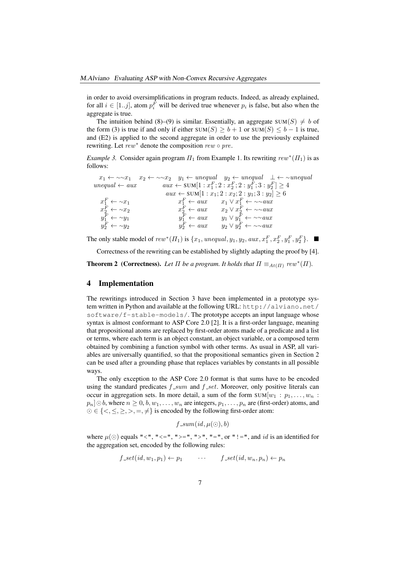in order to avoid oversimplifications in program reducts. Indeed, as already explained, for all  $i \in [1..j]$ , atom  $p_i^F$  will be derived true whenever  $p_i$  is false, but also when the aggregate is true.

The intuition behind (8)–(9) is similar. Essentially, an aggregate  $SUM(S) \neq b$  of the form (3) is true if and only if either SUM(S)  $> b + 1$  or SUM(S)  $\leq b - 1$  is true, and (E2) is applied to the second aggregate in order to use the previously explained rewriting. Let rew<sup>∗</sup> denote the composition rew ∘ pre.

*Example 3.* Consider again program  $\Pi_1$  from Example 1. Its rewriting  $rew^*(\Pi_1)$  is as follows:

|                             |                        | $x_1 \leftarrow \neg x_1$ $x_2 \leftarrow \neg x_2$ $y_1 \leftarrow$ unequal $y_2 \leftarrow$ unequal $\perp \leftarrow \neg$ unequal |
|-----------------------------|------------------------|---------------------------------------------------------------------------------------------------------------------------------------|
| $unequal \leftarrow aux$    |                        | $aux \leftarrow \text{SUM}[1:x_1^F; 2:x_2^F; 2:y_1^F; 3:y_2^F] \geq 4$                                                                |
|                             |                        | $aux \leftarrow \text{SUM}[1:x_1; 2:x_2; 2:y_1; 3:y_2] \geq 6$                                                                        |
| $x_1^F \leftarrow \sim x_1$ |                        | $x_1^F \leftarrow aux \qquad x_1 \vee x_1^F \leftarrow \sim \sim aux$                                                                 |
| $x_2^F \leftarrow \sim x_2$ | $x_2^F \leftarrow aux$ | $x_2 \vee x_2^F \leftarrow \sim \sim au x$                                                                                            |
| $y_1^F \leftarrow \sim y_1$ | $y_1^F \leftarrow aux$ | $y_1 \vee y_1^F \leftarrow \sim \sim au x$                                                                                            |
| $y_2^F \leftarrow \sim y_2$ | $y_2^F \leftarrow aux$ | $y_2 \vee y_2^F \leftarrow \sim \sim a u x$                                                                                           |

The only stable model of  $rew^*(\Pi_1)$  is  $\{x_1, \text{unequal}, y_1, y_2, \text{aux}, x_1^F, x_2^F, y_1^F, y_2^F\}.$ 

Correctness of the rewriting can be established by slightly adapting the proof by [4].

**Theorem 2** (Correctness). Let  $\Pi$  be a program. It holds that  $\Pi \equiv_{At(\Pi)} rev^*(\Pi)$ .

#### 4 Implementation

The rewritings introduced in Section 3 have been implemented in a prototype system written in Python and available at the following URL: http://alviano.net/ software/f-stable-models/. The prototype accepts an input language whose syntax is almost conformant to ASP Core 2.0 [2]. It is a first-order language, meaning that propositional atoms are replaced by first-order atoms made of a predicate and a list or terms, where each term is an object constant, an object variable, or a composed term obtained by combining a function symbol with other terms. As usual in ASP, all variables are universally quantified, so that the propositional semantics given in Section 2 can be used after a grounding phase that replaces variables by constants in all possible ways.

The only exception to the ASP Core 2.0 format is that sums have to be encoded using the standard predicates  $f_{sum}$  and  $f_{set}$ . Moreover, only positive literals can occur in aggregation sets. In more detail, a sum of the form  $SUM[w_1 : p_1, \ldots, w_n :$  $p_n$   $\odot$  b, where  $n \geq 0$ ,  $b, w_1, \ldots, w_n$  are integers,  $p_1, \ldots, p_n$  are (first-order) atoms, and  $\odot \in \{<,\leq, \geq, >, =, \neq\}$  is encoded by the following first-order atom:

$$
f\_sum(id, \mu(\odot), b)
$$

where  $\mu(\bigcirc)$  equals "<", "<=", ">=", ">", "=", or "!=", and *id* is an identified for the aggregation set, encoded by the following rules:

$$
f_{-}set(id, w_1, p_1) \leftarrow p_1 \qquad \cdots \qquad f_{-}set(id, w_n, p_n) \leftarrow p_n
$$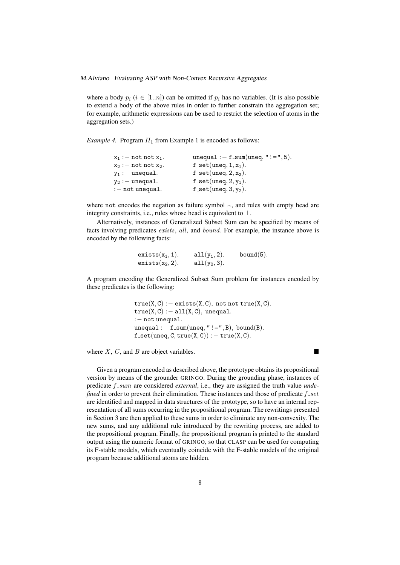where a body  $p_i$  ( $i \in [1..n]$ ) can be omitted if  $p_i$  has no variables. (It is also possible to extend a body of the above rules in order to further constrain the aggregation set; for example, arithmetic expressions can be used to restrict the selection of atoms in the aggregation sets.)

*Example 4.* Program  $\Pi_1$  from Example 1 is encoded as follows:

| $x_1 := not not x_1.$ | unequal : $-f$ _sum(uneq, "!=", 5).    |
|-----------------------|----------------------------------------|
| $x_2 := not not x_2.$ | $f$ <sub>-</sub> set(uneq, 1, $x_1$ ). |
| $y_1 :=$ unequal.     | $f$ <sub>-</sub> set(uneq, 2, $x_2$ ). |
| $y_2 :=$ unequal.     | $f$ <sub>-</sub> set(uneq, 2, $y_1$ ). |
| $:$ - not unequal.    | $f$ <sub>-Set</sub> (uneq, 3, $y_2$ ). |
|                       |                                        |

where not encodes the negation as failure symbol <sup>∼</sup>, and rules with empty head are integrity constraints, i.e., rules whose head is equivalent to ⊥.

Alternatively, instances of Generalized Subset Sum can be specified by means of facts involving predicates *exists*, all, and *bound*. For example, the instance above is encoded by the following facts:

```
exists(x_1, 1). all(y_1, 2). bound(5).<br>exists(x<sub>2</sub>, 2). all(y_2, 3).exists(x_2, 2).
```
A program encoding the Generalized Subset Sum problem for instances encoded by these predicates is the following:

> $true(X, C) : - exists(X, C), not not true(X, C).$  $true(X, C) :- all(X, C), unequal.$ :− not unequal. unequal :  $-f$ \_sum(uneq, "!=", B), bound(B).  $f$  \_set(uneq, C, true $(X, C)$ ) : - true $(X, C)$ .

where  $X$ ,  $C$ , and  $B$  are object variables.

Given a program encoded as described above, the prototype obtains its propositional version by means of the grounder GRINGO. During the grounding phase, instances of predicate  $f_{sym}$  are considered *external*, i.e., they are assigned the truth value *undefined* in order to prevent their elimination. These instances and those of predicate  $f_{set}$ are identified and mapped in data structures of the prototype, so to have an internal representation of all sums occurring in the propositional program. The rewritings presented in Section 3 are then applied to these sums in order to eliminate any non-convexity. The new sums, and any additional rule introduced by the rewriting process, are added to the propositional program. Finally, the propositional program is printed to the standard output using the numeric format of GRINGO, so that CLASP can be used for computing its F-stable models, which eventually coincide with the F-stable models of the original program because additional atoms are hidden.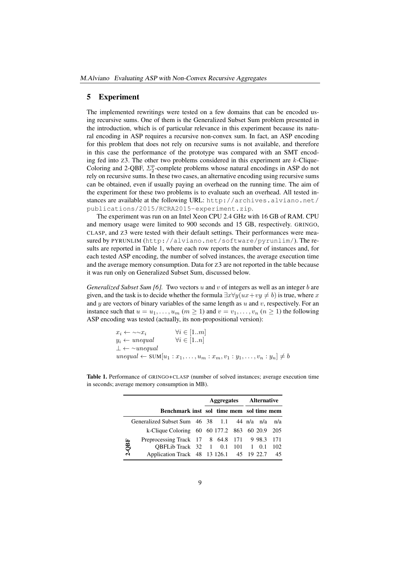#### 5 Experiment

The implemented rewritings were tested on a few domains that can be encoded using recursive sums. One of them is the Generalized Subset Sum problem presented in the introduction, which is of particular relevance in this experiment because its natural encoding in ASP requires a recursive non-convex sum. In fact, an ASP encoding for this problem that does not rely on recursive sums is not available, and therefore in this case the performance of the prototype was compared with an SMT encoding fed into  $Z3$ . The other two problems considered in this experiment are  $k$ -Clique-Coloring and 2-QBF,  $\Sigma_2^p$ -complete problems whose natural encodings in ASP do not rely on recursive sums. In these two cases, an alternative encoding using recursive sums can be obtained, even if usually paying an overhead on the running time. The aim of the experiment for these two problems is to evaluate such an overhead. All tested instances are available at the following URL: http://archives.alviano.net/ publications/2015/RCRA2015-experiment.zip.

The experiment was run on an Intel Xeon CPU 2.4 GHz with 16 GB of RAM. CPU and memory usage were limited to 900 seconds and 15 GB, respectively. GRINGO, CLASP, and Z3 were tested with their default settings. Their performances were measured by PYRUNLIM (http://alviano.net/software/pyrunlim/). The results are reported in Table 1, where each row reports the number of instances and, for each tested ASP encoding, the number of solved instances, the average execution time and the average memory consumption. Data for Z3 are not reported in the table because it was run only on Generalized Subset Sum, discussed below.

*Generalized Subset Sum [6].* Two vectors u and v of integers as well as an integer b are given, and the task is to decide whether the formula  $\exists x \forall y (ux+vy \neq b)$  is true, where x and y are vectors of binary variables of the same length as  $u$  and  $v$ , respectively. For an instance such that  $u = u_1, \dots, u_m$   $(m \ge 1)$  and  $v = v_1, \dots, v_n$   $(n \ge 1)$  the following ASP encoding was tested (actually, its non-propositional version):

```
x_i \leftarrow \sim x_i \qquad \forall i \in [1..m]<br>
y_i \leftarrow unequal \qquad \forall i \in [1..n]y_i \leftarrow unequal\perp \leftarrow \simunequal
unequal \leftarrow \text{SUM}[u_1:x_1,\ldots,u_m:x_m,v_1:y_1,\ldots,v_n:y_n] \neq b
```

|                                                 |                                               |  | Aggregates Alternative |  |  |  |  |  |
|-------------------------------------------------|-----------------------------------------------|--|------------------------|--|--|--|--|--|
|                                                 | Benchmark inst sol time mem sol time mem      |  |                        |  |  |  |  |  |
| Generalized Subset Sum 46 38 1.1 44 n/a n/a n/a |                                               |  |                        |  |  |  |  |  |
| $2-QBF$                                         | k-Clique Coloring 60 60 177.2 863 60 20.9 205 |  |                        |  |  |  |  |  |
|                                                 | Preprocessing Track 17 8 64.8 171 9 98.3 171  |  |                        |  |  |  |  |  |
|                                                 | QBFLib Track 32 1 0.1 101 1 0.1 102           |  |                        |  |  |  |  |  |
|                                                 | Application Track 48 13 126.1 45 19 22.7 45   |  |                        |  |  |  |  |  |

Table 1. Performance of GRINGO+CLASP (number of solved instances; average execution time in seconds; average memory consumption in MB).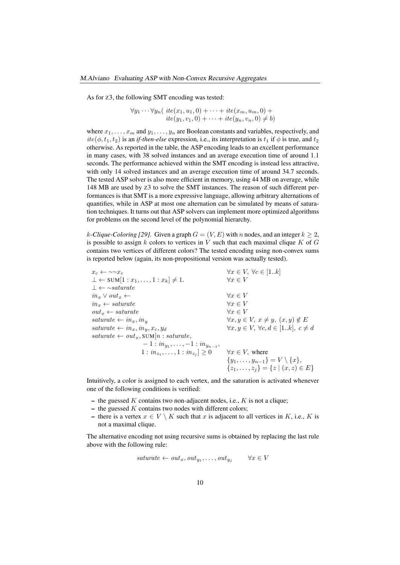As for Z3, the following SMT encoding was tested:

 $\forall y_1 \cdots \forall y_n ( \text{ite}(x_1, u_1, 0) + \cdots + \text{ite}(x_m, u_m, 0) +$  $ite(y_1, v_1, 0) + \cdots + ite(y_n, v_n, 0) \neq b)$ 

where  $x_1, \ldots, x_m$  and  $y_1, \ldots, y_n$  are Boolean constants and variables, respectively, and  $ite(\phi, t_1, t_2)$  is an *if-then-else* expression, i.e., its interpretation is  $t_1$  if  $\phi$  is true, and  $t_2$ otherwise. As reported in the table, the ASP encoding leads to an excellent performance in many cases, with 38 solved instances and an average execution time of around 1.1 seconds. The performance achieved within the SMT encoding is instead less attractive, with only 14 solved instances and an average execution time of around 34.7 seconds. The tested ASP solver is also more efficient in memory, using 44 MB on average, while 148 MB are used by Z3 to solve the SMT instances. The reason of such different performances is that SMT is a more expressive language, allowing arbitrary alternations of quantifies, while in ASP at most one alternation can be simulated by means of saturation techniques. It turns out that ASP solvers can implement more optimized algorithms for problems on the second level of the polynomial hierarchy.

k-Clique-Coloring [29]. Given a graph  $G = (V, E)$  with n nodes, and an integer  $k \geq 2$ , is possible to assign k colors to vertices in V such that each maximal clique K of  $G$ contains two vertices of different colors? The tested encoding using non-convex sums is reported below (again, its non-propositional version was actually tested).

 $x_c \leftarrow \sim x_c$ <br>  $\perp \leftarrow \text{SUM}[1:x_1,\ldots,1:x_k] \neq 1.$ <br>  $\forall x \in V, \forall c \in [1..k]$  $\bot \leftarrow \text{SUM}[1:x_1,\ldots,1:x_k] \neq 1.$  $\perp \leftarrow \sim$ saturate  $in_x \vee out_x \leftarrow$ <br>  $in_x \leftarrow saturate$ <br>  $\forall x \in V$ <br>  $\forall x \in V$  $in_x \leftarrow saturate$ <br>  $out_x \leftarrow saturate$ <br>  $\forall x \in V$ <br>  $\forall x \in V$  $out_x \leftarrow saturate$ <br>saturate  $\leftarrow in_x, in_y$  $\forall x, y \in V, x \neq y, (x, y) \notin E$ <br> $\forall x, y \in V, \forall c, d \in [1..k], c \neq d$  $sature \leftarrow in_x, in_y, x_c, y_d$  $\textit{saturate} \leftarrow \textit{out}_x, \textit{SUM}[n: \textit{saturate},$  $-1: in_{y_1}, \ldots, -1: in_{y_{n-1}},$  $1 : in_{z_1}, \ldots, 1 : in_{z_j}$  $\forall x \in V$ , where  $\{y_1,\ldots,y_{n-1}\}=V\setminus\{x\},\$  $\{z_1, \ldots, z_j\} = \{z \mid (x, z) \in E\}$ 

Intuitively, a color is assigned to each vertex, and the saturation is activated whenever one of the following conditions is verified:

- the guessed K contains two non-adjacent nodes, i.e., K is not a clique;
- $-$  the guessed K contains two nodes with different colors;
- there is a vertex  $x \in V \setminus K$  such that x is adjacent to all vertices in K, i.e., K is not a maximal clique.

The alternative encoding not using recursive sums is obtained by replacing the last rule above with the following rule:

$$
saturate \leftarrow out_x, out_{y_1}, \dots, out_{y_j} \qquad \forall x \in V
$$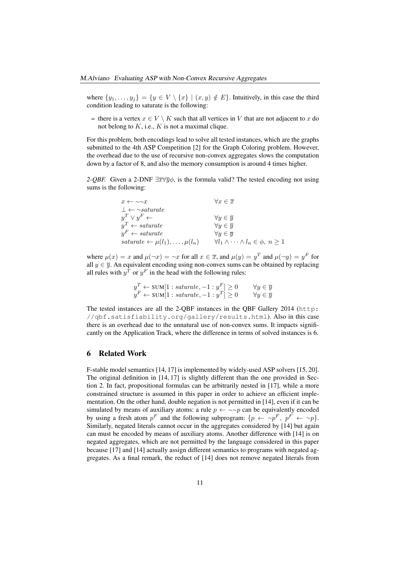where  $\{y_1, \ldots, y_j\} = \{y \in V \setminus \{x\} \mid (x, y) \notin E\}$ . Intuitively, in this case the third condition leading to saturate is the following:

– there is a vertex  $x \in V \setminus K$  such that all vertices in V that are not adjacent to x do not belong to  $K$ , i.e.,  $K$  is not a maximal clique.

For this problem, both encodings lead to solve all tested instances, which are the graphs submitted to the 4th ASP Competition [2] for the Graph Coloring problem. However, the overhead due to the use of recursive non-convex aggregates slows the computation down by a factor of 8, and also the memory consumption is around 4 times higher.

*2-QBF.* Given a 2-DNF  $\exists \overline{x} \forall \overline{y} \phi$ , is the formula valid? The tested encoding not using sums is the following:

| $x \leftarrow \sim \sim x$                       | $\forall x \in \overline{x}$                              |
|--------------------------------------------------|-----------------------------------------------------------|
| $\perp \leftarrow \sim$ saturate                 |                                                           |
| $y^T \vee y^F \leftarrow$                        | $\forall y \in \overline{y}$                              |
| $y^T \leftarrow saturate$                        | $\forall y \in \overline{y}$                              |
| $y^F \leftarrow saturate$                        | $\forall y \in \overline{y}$                              |
| saturate $\leftarrow \mu(l_1), \ldots, \mu(l_n)$ | $\forall l_1 \wedge \cdots \wedge l_n \in \phi, n \geq 1$ |

where  $\mu(x) = x$  and  $\mu(\neg x) = \neg x$  for all  $x \in \overline{x}$ , and  $\mu(y) = y^T$  and  $\mu(\neg y) = y^F$  for all  $y \in \overline{y}$ . An equivalent encoding using non-convex sums can be obtained by replacing all rules with  $y^T$  or  $y^F$  in the head with the following rules:

$$
y^T \leftarrow \text{SUM}[1: \text{saturate}, -1: y^F] \ge 0 \qquad \forall y \in \overline{y}
$$
  

$$
y^F \leftarrow \text{SUM}[1: \text{saturate}, -1: y^T] \ge 0 \qquad \forall y \in \overline{y}
$$

The tested instances are all the 2-QBF instances in the QBF Gallery 2014 (http: //qbf.satisfiability.org/gallery/results.html). Also in this case there is an overhead due to the unnatural use of non-convex sums. It impacts significantly on the Application Track, where the difference in terms of solved instances is 6.

#### 6 Related Work

F-stable model semantics [14, 17] is implemented by widely-used ASP solvers [15, 20]. The original definition in [14, 17] is slightly different than the one provided in Section 2. In fact, propositional formulas can be arbitrarily nested in [17], while a more constrained structure is assumed in this paper in order to achieve an efficient implementation. On the other hand, double negation is not permitted in [14], even if it can be simulated by means of auxiliary atoms: a rule  $p \leftarrow \sim p$  can be equivalently encoded by using a fresh atom  $p^F$  and the following subprogram:  $\{p \leftarrow \sim p^F, p^F \leftarrow \sim p\}$ . Similarly, negated literals cannot occur in the aggregates considered by [14] but again can must be encoded by means of auxiliary atoms. Another difference with [14] is on negated aggregates, which are not permitted by the language considered in this paper because [17] and [14] actually assign different semantics to programs with negated aggregates. As a final remark, the reduct of [14] does not remove negated literals from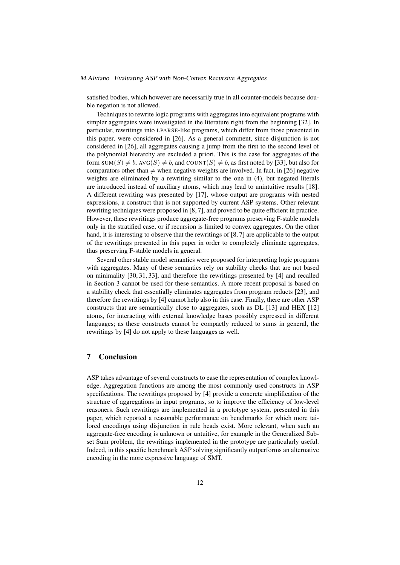satisfied bodies, which however are necessarily true in all counter-models because double negation is not allowed.

Techniques to rewrite logic programs with aggregates into equivalent programs with simpler aggregates were investigated in the literature right from the beginning [32]. In particular, rewritings into LPARSE-like programs, which differ from those presented in this paper, were considered in [26]. As a general comment, since disjunction is not considered in [26], all aggregates causing a jump from the first to the second level of the polynomial hierarchy are excluded a priori. This is the case for aggregates of the form SUM(S)  $\neq b$ , AVG(S)  $\neq b$ , and COUNT(S)  $\neq b$ , as first noted by [33], but also for comparators other than  $\neq$  when negative weights are involved. In fact, in [26] negative weights are eliminated by a rewriting similar to the one in (4), but negated literals are introduced instead of auxiliary atoms, which may lead to unintuitive results [18]. A different rewriting was presented by [17], whose output are programs with nested expressions, a construct that is not supported by current ASP systems. Other relevant rewriting techniques were proposed in [8, 7], and proved to be quite efficient in practice. However, these rewritings produce aggregate-free programs preserving F-stable models only in the stratified case, or if recursion is limited to convex aggregates. On the other hand, it is interesting to observe that the rewritings of [8, 7] are applicable to the output of the rewritings presented in this paper in order to completely eliminate aggregates, thus preserving F-stable models in general.

Several other stable model semantics were proposed for interpreting logic programs with aggregates. Many of these semantics rely on stability checks that are not based on minimality [30, 31, 33], and therefore the rewritings presented by [4] and recalled in Section 3 cannot be used for these semantics. A more recent proposal is based on a stability check that essentially eliminates aggregates from program reducts [23], and therefore the rewritings by [4] cannot help also in this case. Finally, there are other ASP constructs that are semantically close to aggregates, such as DL [13] and HEX [12] atoms, for interacting with external knowledge bases possibly expressed in different languages; as these constructs cannot be compactly reduced to sums in general, the rewritings by [4] do not apply to these languages as well.

## 7 Conclusion

ASP takes advantage of several constructs to ease the representation of complex knowledge. Aggregation functions are among the most commonly used constructs in ASP specifications. The rewritings proposed by [4] provide a concrete simplification of the structure of aggregations in input programs, so to improve the efficiency of low-level reasoners. Such rewritings are implemented in a prototype system, presented in this paper, which reported a reasonable performance on benchmarks for which more tailored encodings using disjunction in rule heads exist. More relevant, when such an aggregate-free encoding is unknown or untuitive, for example in the Generalized Subset Sum problem, the rewritings implemented in the prototype are particularly useful. Indeed, in this specific benchmark ASP solving significantly outperforms an alternative encoding in the more expressive language of SMT.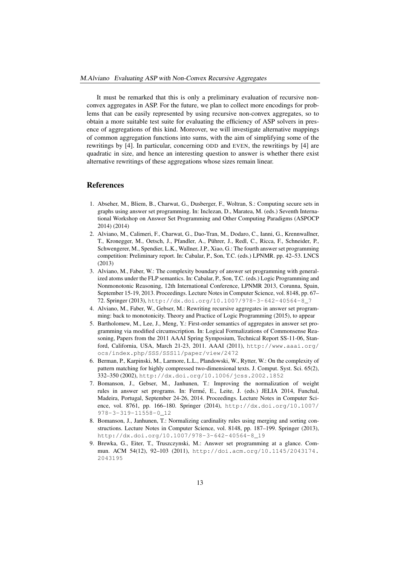It must be remarked that this is only a preliminary evaluation of recursive nonconvex aggregates in ASP. For the future, we plan to collect more encodings for problems that can be easily represented by using recursive non-convex aggregates, so to obtain a more suitable test suite for evaluating the efficiency of ASP solvers in presence of aggregations of this kind. Moreover, we will investigate alternative mappings of common aggregation functions into sums, with the aim of simplifying some of the rewritings by [4]. In particular, concerning ODD and EVEN, the rewritings by [4] are quadratic in size, and hence an interesting question to answer is whether there exist alternative rewritings of these aggregations whose sizes remain linear.

#### **References**

- 1. Abseher, M., Bliem, B., Charwat, G., Dusberger, F., Woltran, S.: Computing secure sets in graphs using answer set programming. In: Inclezan, D., Maratea, M. (eds.) Seventh International Workshop on Answer Set Programming and Other Computing Paradigms (ASPOCP 2014) (2014)
- 2. Alviano, M., Calimeri, F., Charwat, G., Dao-Tran, M., Dodaro, C., Ianni, G., Krennwallner, T., Kronegger, M., Oetsch, J., Pfandler, A., Puhrer, J., Redl, C., Ricca, F., Schneider, P., ¨ Schwengerer, M., Spendier, L.K., Wallner, J.P., Xiao, G.: The fourth answer set programming competition: Preliminary report. In: Cabalar, P., Son, T.C. (eds.) LPNMR. pp. 42–53. LNCS (2013)
- 3. Alviano, M., Faber, W.: The complexity boundary of answer set programming with generalized atoms under the FLP semantics. In: Cabalar, P., Son, T.C. (eds.) Logic Programming and Nonmonotonic Reasoning, 12th International Conference, LPNMR 2013, Corunna, Spain, September 15-19, 2013. Proceedings. Lecture Notes in Computer Science, vol. 8148, pp. 67– 72. Springer (2013), http://dx.doi.org/10.1007/978-3-642-40564-8\_7
- 4. Alviano, M., Faber, W., Gebser, M.: Rewriting recursive aggregates in answer set programming: back to monotonicity. Theory and Practice of Logic Programming (2015), to appear
- 5. Bartholomew, M., Lee, J., Meng, Y.: First-order semantics of aggregates in answer set programming via modified circumscription. In: Logical Formalizations of Commonsense Reasoning, Papers from the 2011 AAAI Spring Symposium, Technical Report SS-11-06, Stanford, California, USA, March 21-23, 2011. AAAI (2011), http://www.aaai.org/ ocs/index.php/SSS/SSS11/paper/view/2472
- 6. Berman, P., Karpinski, M., Larmore, L.L., Plandowski, W., Rytter, W.: On the complexity of pattern matching for highly compressed two-dimensional texts. J. Comput. Syst. Sci. 65(2), 332–350 (2002), http://dx.doi.org/10.1006/jcss.2002.1852
- 7. Bomanson, J., Gebser, M., Janhunen, T.: Improving the normalization of weight rules in answer set programs. In: Ferme, E., Leite, J. (eds.) JELIA 2014, Funchal, ´ Madeira, Portugal, September 24-26, 2014. Proceedings. Lecture Notes in Computer Science, vol. 8761, pp. 166–180. Springer (2014), http://dx.doi.org/10.1007/ 978-3-319-11558-0\_12
- 8. Bomanson, J., Janhunen, T.: Normalizing cardinality rules using merging and sorting constructions. Lecture Notes in Computer Science, vol. 8148, pp. 187–199. Springer (2013), http://dx.doi.org/10.1007/978-3-642-40564-8\_19
- 9. Brewka, G., Eiter, T., Truszczynski, M.: Answer set programming at a glance. Commun. ACM 54(12), 92–103 (2011), http://doi.acm.org/10.1145/2043174. 2043195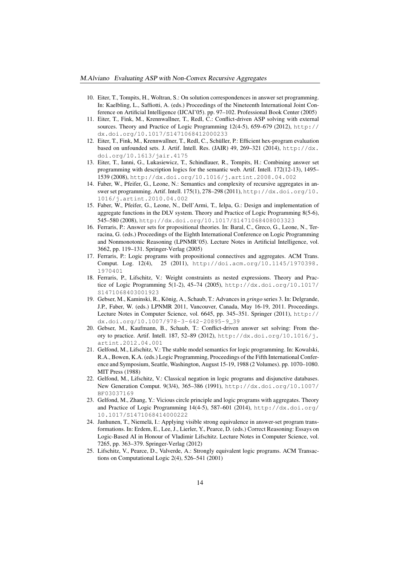- 10. Eiter, T., Tompits, H., Woltran, S.: On solution correspondences in answer set programming. In: Kaelbling, L., Saffiotti, A. (eds.) Proceedings of the Nineteenth International Joint Conference on Artificial Intelligence (IJCAI'05). pp. 97–102. Professional Book Center (2005)
- 11. Eiter, T., Fink, M., Krennwallner, T., Redl, C.: Conflict-driven ASP solving with external sources. Theory and Practice of Logic Programming 12(4-5), 659–679 (2012), http:// dx.doi.org/10.1017/S1471068412000233
- 12. Eiter, T., Fink, M., Krennwallner, T., Redl, C., Schuller, P.: Efficient hex-program evaluation ¨ based on unfounded sets. J. Artif. Intell. Res. (JAIR) 49, 269–321 (2014), http://dx. doi.org/10.1613/jair.4175
- 13. Eiter, T., Ianni, G., Lukasiewicz, T., Schindlauer, R., Tompits, H.: Combining answer set programming with description logics for the semantic web. Artif. Intell. 172(12-13), 1495– 1539 (2008), http://dx.doi.org/10.1016/j.artint.2008.04.002
- 14. Faber, W., Pfeifer, G., Leone, N.: Semantics and complexity of recursive aggregates in answer set programming. Artif. Intell. 175(1), 278–298 (2011), http://dx.doi.org/10. 1016/j.artint.2010.04.002
- 15. Faber, W., Pfeifer, G., Leone, N., Dell'Armi, T., Ielpa, G.: Design and implementation of aggregate functions in the DLV system. Theory and Practice of Logic Programming 8(5-6), 545–580 (2008), http://dx.doi.org/10.1017/S1471068408003323
- 16. Ferraris, P.: Answer sets for propositional theories. In: Baral, C., Greco, G., Leone, N., Terracina, G. (eds.) Proceedings of the Eighth International Conference on Logic Programming and Nonmonotonic Reasoning (LPNMR'05). Lecture Notes in Artificial Intelligence, vol. 3662, pp. 119–131. Springer-Verlag (2005)
- 17. Ferraris, P.: Logic programs with propositional connectives and aggregates. ACM Trans. Comput. Log. 12(4), 25 (2011), http://doi.acm.org/10.1145/1970398. 1970401
- 18. Ferraris, P., Lifschitz, V.: Weight constraints as nested expressions. Theory and Practice of Logic Programming 5(1-2), 45–74 (2005), http://dx.doi.org/10.1017/ S1471068403001923
- 19. Gebser, M., Kaminski, R., König, A., Schaub, T.: Advances in *gringo* series 3. In: Delgrande, J.P., Faber, W. (eds.) LPNMR 2011, Vancouver, Canada, May 16-19, 2011. Proceedings. Lecture Notes in Computer Science, vol. 6645, pp. 345–351. Springer (2011), http:// dx.doi.org/10.1007/978-3-642-20895-9\_39
- 20. Gebser, M., Kaufmann, B., Schaub, T.: Conflict-driven answer set solving: From theory to practice. Artif. Intell. 187, 52–89 (2012), http://dx.doi.org/10.1016/j. artint.2012.04.001
- 21. Gelfond, M., Lifschitz, V.: The stable model semantics for logic programming. In: Kowalski, R.A., Bowen, K.A. (eds.) Logic Programming, Proceedings of the Fifth International Conference and Symposium, Seattle, Washington, August 15-19, 1988 (2 Volumes). pp. 1070–1080. MIT Press (1988)
- 22. Gelfond, M., Lifschitz, V.: Classical negation in logic programs and disjunctive databases. New Generation Comput. 9(3/4), 365–386 (1991), http://dx.doi.org/10.1007/ BF03037169
- 23. Gelfond, M., Zhang, Y.: Vicious circle principle and logic programs with aggregates. Theory and Practice of Logic Programming 14(4-5), 587–601 (2014), http://dx.doi.org/ 10.1017/S1471068414000222
- 24. Janhunen, T., Niemelä, I.: Applying visible strong equivalence in answer-set program transformations. In: Erdem, E., Lee, J., Lierler, Y., Pearce, D. (eds.) Correct Reasoning: Essays on Logic-Based AI in Honour of Vladimir Lifschitz. Lecture Notes in Computer Science, vol. 7265, pp. 363–379. Springer-Verlag (2012)
- 25. Lifschitz, V., Pearce, D., Valverde, A.: Strongly equivalent logic programs. ACM Transactions on Computational Logic 2(4), 526–541 (2001)